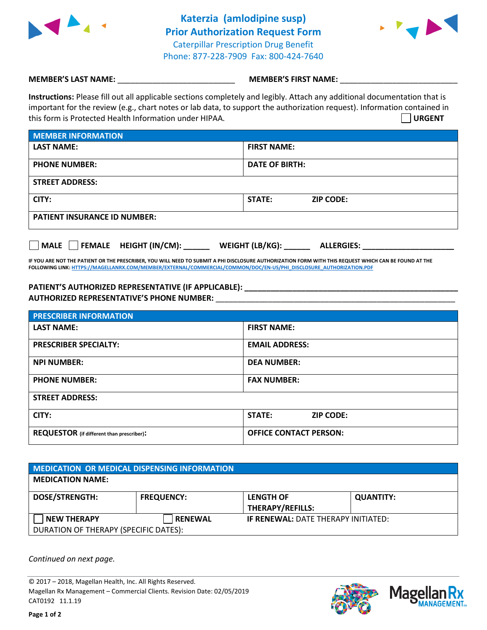

**Katerzia (amlodipine susp) Prior Authorization Request Form** Caterpillar Prescription Drug Benefit Phone: 877-228-7909 Fax: 800-424-7640



## **MEMBER'S LAST NAME:**  $\blacksquare$  **MEMBER'S FIRST NAME:**  $\blacksquare$

**Instructions:** Please fill out all applicable sections completely and legibly. Attach any additional documentation that is important for the review (e.g., chart notes or lab data, to support the authorization request). Information contained in this form is Protected Health Information under HIPAA. **URGENT**

| <b>MEMBER INFORMATION</b>           |                                   |  |  |  |
|-------------------------------------|-----------------------------------|--|--|--|
| <b>LAST NAME:</b>                   | <b>FIRST NAME:</b>                |  |  |  |
| <b>PHONE NUMBER:</b>                | <b>DATE OF BIRTH:</b>             |  |  |  |
| <b>STREET ADDRESS:</b>              |                                   |  |  |  |
| CITY:                               | <b>STATE:</b><br><b>ZIP CODE:</b> |  |  |  |
| <b>PATIENT INSURANCE ID NUMBER:</b> |                                   |  |  |  |

| , MALE | <b>FEMALE</b> | <b>HEIGHT (IN/CM):</b> | WEIGHT (LB/KG): | <b>ALLERGIES:</b> |
|--------|---------------|------------------------|-----------------|-------------------|
|--------|---------------|------------------------|-----------------|-------------------|

**IF YOU ARE NOT THE PATIENT OR THE PRESCRIBER, YOU WILL NEED TO SUBMIT A PHI DISCLOSURE AUTHORIZATION FORM WITH THIS REQUEST WHICH CAN BE FOUND AT THE FOLLOWING LINK[: HTTPS://MAGELLANRX.COM/MEMBER/EXTERNAL/COMMERCIAL/COMMON/DOC/EN-US/PHI\\_DISCLOSURE\\_AUTHORIZATION.PDF](https://magellanrx.com/member/external/commercial/common/doc/en-us/PHI_Disclosure_Authorization.pdf)**

## **PATIENT'S AUTHORIZED REPRESENTATIVE (IF APPLICABLE): \_\_\_\_\_\_\_\_\_\_\_\_\_\_\_\_\_\_\_\_\_\_\_\_\_\_\_\_\_\_\_\_\_\_\_\_\_\_\_\_\_\_\_\_\_\_\_\_\_ AUTHORIZED REPRESENTATIVE'S PHONE NUMBER:** \_\_\_\_\_\_\_\_\_\_\_\_\_\_\_\_\_\_\_\_\_\_\_\_\_\_\_\_\_\_\_\_\_\_\_\_\_\_\_\_\_\_\_\_\_\_\_\_\_\_\_\_\_\_\_

| <b>PRESCRIBER INFORMATION</b>             |                               |  |  |
|-------------------------------------------|-------------------------------|--|--|
| <b>LAST NAME:</b>                         | <b>FIRST NAME:</b>            |  |  |
| <b>PRESCRIBER SPECIALTY:</b>              | <b>EMAIL ADDRESS:</b>         |  |  |
| <b>NPI NUMBER:</b>                        | <b>DEA NUMBER:</b>            |  |  |
| <b>PHONE NUMBER:</b>                      | <b>FAX NUMBER:</b>            |  |  |
| <b>STREET ADDRESS:</b>                    |                               |  |  |
| CITY:                                     | STATE:<br><b>ZIP CODE:</b>    |  |  |
| REQUESTOR (if different than prescriber): | <b>OFFICE CONTACT PERSON:</b> |  |  |

| MEDICATION OR MEDICAL DISPENSING INFORMATION |                   |                                            |                  |  |  |
|----------------------------------------------|-------------------|--------------------------------------------|------------------|--|--|
| <b>MEDICATION NAME:</b>                      |                   |                                            |                  |  |  |
| <b>DOSE/STRENGTH:</b>                        | <b>FREQUENCY:</b> | <b>LENGTH OF</b>                           | <b>QUANTITY:</b> |  |  |
|                                              |                   | <b>THERAPY/REFILLS:</b>                    |                  |  |  |
| <b>NEW THERAPY</b>                           | <b>RENEWAL</b>    | <b>IF RENEWAL: DATE THERAPY INITIATED:</b> |                  |  |  |
| DURATION OF THERAPY (SPECIFIC DATES):        |                   |                                            |                  |  |  |

*Continued on next page.*

© 2017 – 2018, Magellan Health, Inc. All Rights Reserved. Magellan Rx Management – Commercial Clients. Revision Date: 02/05/2019 CAT0192 11.1.19